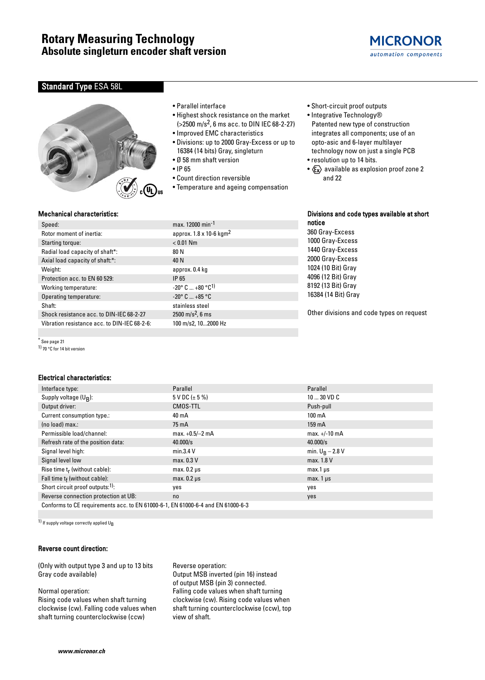

# Standard Type ESA 58L



- Parallel interface
- Highest shock resistance on the market (>2500 m/s2, 6 ms acc. to DIN IEC 68-2-27)
- Improved EMC characteristics
- Divisions: up to 2000 Gray-Excess or up to 16384 (14 bits) Gray, singleturn
- Ø 58 mm shaft version
- IP 65
- Count direction reversible
- Temperature and ageing compensation
- Short-circuit proof outputs
- Integrative Technology® Patented new type of construction integrates all components; use of an opto-asic and 6-layer multilayer technology now on just a single PCB
- resolution up to 14 bits.

notice

360 Gray-Excess 1000 Gray-Excess 1440 Gray-Excess 2000 Gray-Excess 1024 (10 Bit) Gray 4096 (12 Bit) Gray 8192 (13 Bit) Gray 16384 (14 Bit) Gray

•  $x \rightarrow \infty$  available as explosion proof zone 2 and 22

Divisions and code types available at short

### Mechanical characteristics:

| Speed:                                       | max. 12000 min <sup>-1</sup>                  |
|----------------------------------------------|-----------------------------------------------|
| Rotor moment of inertia:                     | approx. 1.8 x 10-6 kgm <sup>2</sup>           |
| Starting torque:                             | $< 0.01$ Nm                                   |
| Radial load capacity of shaft*:              | 80 N                                          |
| Axial load capacity of shaft:*:              | 40 N                                          |
| Weight:                                      | approx. 0.4 kg                                |
| Protection acc. to EN 60 529:                | IP 65                                         |
| Working temperature:                         | $-20^{\circ}$ C $+80^{\circ}$ C <sup>1)</sup> |
| Operating temperature:                       | $-20^{\circ}$ C $+85^{\circ}$ C               |
| Shaft:                                       | stainless steel                               |
| Shock resistance acc. to DIN-IEC 68-2-27     | 2500 m/s <sup>2</sup> , 6 ms                  |
| Vibration resistance acc. to DIN-IEC 68-2-6: | 100 m/s2, 102000 Hz                           |

\* See page 21

1) 70 °C for 14 bit version

### Electrical characteristics:

| Interface type:                                                                 | Parallel           | Parallel           |  |  |  |  |  |  |
|---------------------------------------------------------------------------------|--------------------|--------------------|--|--|--|--|--|--|
| Supply voltage $(U_R)$ :                                                        | 5 V DC $(\pm 5\%)$ | $1030$ VD C        |  |  |  |  |  |  |
| Output driver:                                                                  | CMOS-TTL           | Push-pull          |  |  |  |  |  |  |
| Current consumption type.:                                                      | 40 mA              | 100 mA             |  |  |  |  |  |  |
| (no load) max.:                                                                 | 75 mA              | 159 mA             |  |  |  |  |  |  |
| Permissible load/channel:                                                       | $max.+0.5/-2$ mA   | $max. +/-10 mA$    |  |  |  |  |  |  |
| Refresh rate of the position data:                                              | 40.000/s           | 40.000/s           |  |  |  |  |  |  |
| Signal level high:                                                              | min.3.4 V          | min. $U_R - 2.8 V$ |  |  |  |  |  |  |
| Signal level low                                                                | max. 0.3 V         | max. 1.8 V         |  |  |  |  |  |  |
| Rise time $t_r$ (without cable):                                                | $max. 0.2 \mu s$   | $max.1 \mu s$      |  |  |  |  |  |  |
| Fall time $t_f$ (without cable):                                                | $max. 0.2 \mu s$   | max. $1 \mu s$     |  |  |  |  |  |  |
| Short circuit proof outputs:1):                                                 | yes                | yes                |  |  |  |  |  |  |
| Reverse connection protection at UB:                                            | n <sub>0</sub>     | yes                |  |  |  |  |  |  |
| Conforms to CE requirements acc. to EN 61000-6-1, EN 61000-6-4 and EN 61000-6-3 |                    |                    |  |  |  |  |  |  |

1) If supply voltage correctly applied UB

#### Reverse count direction:

(Only with output type 3 and up to 13 bits Gray code available)

### Normal operation:

Rising code values when shaft turning clockwise (cw). Falling code values when shaft turning counterclockwise (ccw)

Reverse operation: Output MSB inverted (pin 16) instead of output MSB (pin 3) connected. Falling code values when shaft turning clockwise (cw). Rising code values when shaft turning counterclockwise (ccw), top view of shaft.

Other divisions and code types on request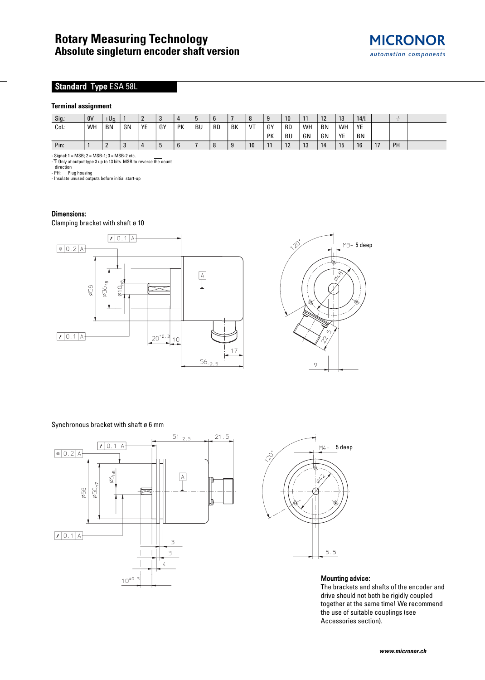

# Standard Type ESA 58L

### **Terminal assignment**

| Sig.: | 0V | $+U_{\rm R}$ |    | $\sqrt{2}$ | C<br>J |    | ŋ         | $\mathbf b$ |    | 8  | 9  | 10        |    | 12        | 13 | 14/1 |    | ≑         |  |
|-------|----|--------------|----|------------|--------|----|-----------|-------------|----|----|----|-----------|----|-----------|----|------|----|-----------|--|
| Col.: | WH | <b>BN</b>    | GN | YE         | GY     | PK | <b>BU</b> | <b>RD</b>   | BK | VT | GY | <b>RD</b> | WH | <b>BN</b> | WH | YE   |    |           |  |
|       |    |              |    |            |        |    |           |             |    |    | PK | BU        | GN | GN        | YE | BN   |    |           |  |
| Pin:  |    | <u>.</u>     |    |            | b      | 6  |           | 8           | J  | 10 | 11 | 12        | 13 | 14        | 15 | 16   | 17 | <b>PH</b> |  |

- Signal: 1 = MSB; 2 = MSB-1; 3 = MSB-2 etc. - 1: Only at output type 3 up to 13 bits. MSB to reverse the count

direction - PH: Plug housing - Insulate unused outputs before initial start-up

## Dimensions:

Clamping bracket with shaft ø 10



Synchronous bracket with shaft ø 6 mm





### Mounting advice:

M3-5 deep

 $\mathcal{Q}$ 

The brackets and shafts of the encoder and drive should not both be rigidly coupled together at the same time! We recommend the use of suitable couplings (see Accessories section).